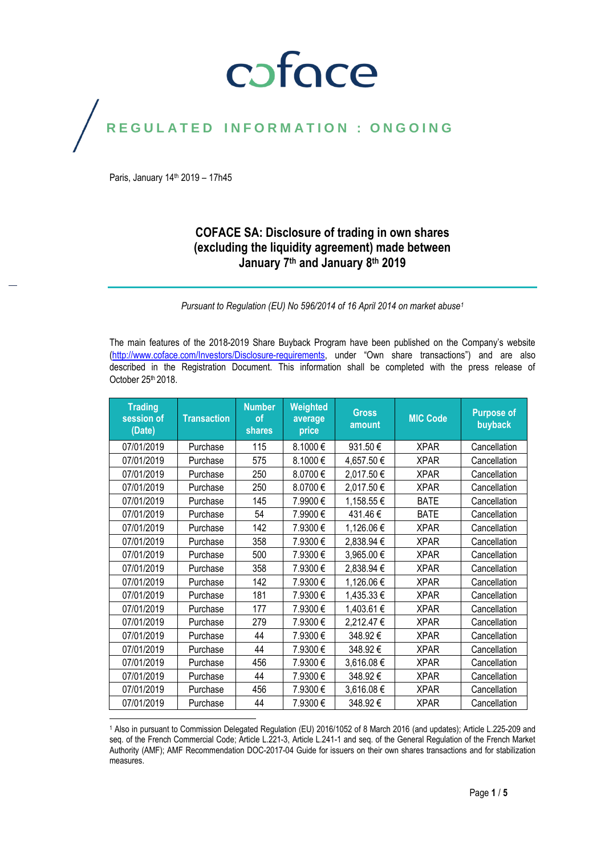# coface

### REGULATED INFORMATION : ONGOING

Paris, January 14<sup>th</sup> 2019 - 17h45

### **COFACE SA: Disclosure of trading in own shares (excluding the liquidity agreement) made between January 7th and January 8 th 2019**

*Pursuant to Regulation (EU) No 596/2014 of 16 April 2014 on market abuse<sup>1</sup>*

The main features of the 2018-2019 Share Buyback Program have been published on the Company's website [\(http://www.coface.com/Investors/Disclosure-requirements](http://www.coface.com/Investors/Disclosure-requirements), under "Own share transactions") and are also described in the Registration Document. This information shall be completed with the press release of October 25<sup>th</sup> 2018.

| <b>Trading</b><br>session of<br>(Date) | <b>Transaction</b> | <b>Number</b><br>of<br><b>shares</b> | Weighted<br>average<br>price | <b>Gross</b><br>amount | <b>MIC Code</b> | <b>Purpose of</b><br>buyback |
|----------------------------------------|--------------------|--------------------------------------|------------------------------|------------------------|-----------------|------------------------------|
| 07/01/2019                             | Purchase           | 115                                  | 8.1000€                      | 931.50€                | <b>XPAR</b>     | Cancellation                 |
| 07/01/2019                             | Purchase           | 575                                  | 8.1000€                      | 4,657.50€              | <b>XPAR</b>     | Cancellation                 |
| 07/01/2019                             | Purchase           | 250                                  | 8.0700€                      | 2,017.50€              | <b>XPAR</b>     | Cancellation                 |
| 07/01/2019                             | Purchase           | 250                                  | 8.0700€                      | 2,017.50 €             | <b>XPAR</b>     | Cancellation                 |
| 07/01/2019                             | Purchase           | 145                                  | 7.9900€                      | 1,158.55€              | <b>BATE</b>     | Cancellation                 |
| 07/01/2019                             | Purchase           | 54                                   | 7.9900€                      | 431.46€                | <b>BATE</b>     | Cancellation                 |
| 07/01/2019                             | Purchase           | 142                                  | 7.9300€                      | 1,126.06€              | <b>XPAR</b>     | Cancellation                 |
| 07/01/2019                             | Purchase           | 358                                  | 7.9300€                      | 2,838.94 €             | <b>XPAR</b>     | Cancellation                 |
| 07/01/2019                             | Purchase           | 500                                  | 7.9300€                      | 3,965.00 €             | <b>XPAR</b>     | Cancellation                 |
| 07/01/2019                             | Purchase           | 358                                  | 7.9300€                      | 2,838.94 €             | <b>XPAR</b>     | Cancellation                 |
| 07/01/2019                             | Purchase           | 142                                  | 7.9300€                      | 1,126.06€              | <b>XPAR</b>     | Cancellation                 |
| 07/01/2019                             | Purchase           | 181                                  | 7.9300 €                     | 1,435.33 €             | <b>XPAR</b>     | Cancellation                 |
| 07/01/2019                             | Purchase           | 177                                  | 7.9300€                      | 1,403.61 €             | <b>XPAR</b>     | Cancellation                 |
| 07/01/2019                             | Purchase           | 279                                  | 7.9300€                      | 2,212.47€              | <b>XPAR</b>     | Cancellation                 |
| 07/01/2019                             | Purchase           | 44                                   | 7.9300€                      | 348.92€                | <b>XPAR</b>     | Cancellation                 |
| 07/01/2019                             | Purchase           | 44                                   | 7.9300€                      | 348.92€                | <b>XPAR</b>     | Cancellation                 |
| 07/01/2019                             | Purchase           | 456                                  | 7.9300€                      | 3,616.08€              | <b>XPAR</b>     | Cancellation                 |
| 07/01/2019                             | Purchase           | 44                                   | 7.9300€                      | 348.92€                | <b>XPAR</b>     | Cancellation                 |
| 07/01/2019                             | Purchase           | 456                                  | 7.9300€                      | 3,616.08€              | <b>XPAR</b>     | Cancellation                 |
| 07/01/2019                             | Purchase           | 44                                   | 7.9300€                      | 348.92€                | <b>XPAR</b>     | Cancellation                 |

<sup>1</sup> Also in pursuant to Commission Delegated Regulation (EU) 2016/1052 of 8 March 2016 (and updates); Article L.225-209 and seq. of the French Commercial Code; Article L.221-3, Article L.241-1 and seq. of the General Regulation of the French Market Authority (AMF); AMF Recommendation DOC-2017-04 Guide for issuers on their own shares transactions and for stabilization measures.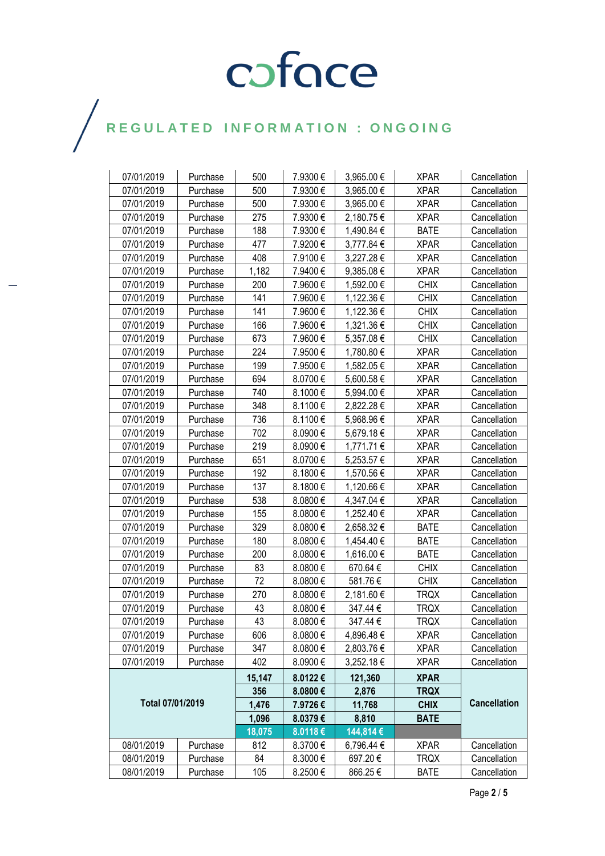# COFOCE

### $\bigg)$

| 07/01/2019       | Purchase | 500    | 7.9300€  | 3,965.00€  | <b>XPAR</b> | Cancellation        |  |
|------------------|----------|--------|----------|------------|-------------|---------------------|--|
| 07/01/2019       | Purchase | 500    | 7.9300€  | 3,965.00 € | <b>XPAR</b> | Cancellation        |  |
| 07/01/2019       | Purchase | 500    | 7.9300€  | 3,965.00 € | <b>XPAR</b> | Cancellation        |  |
| 07/01/2019       | Purchase | 275    | 7.9300€  | 2,180.75€  | <b>XPAR</b> | Cancellation        |  |
| 07/01/2019       | Purchase | 188    | 7.9300€  | 1,490.84 € | <b>BATE</b> | Cancellation        |  |
| 07/01/2019       | Purchase | 477    | 7.9200€  | 3,777.84 € | <b>XPAR</b> | Cancellation        |  |
| 07/01/2019       | Purchase | 408    | 7.9100€  | 3,227.28€  | <b>XPAR</b> | Cancellation        |  |
| 07/01/2019       | Purchase | 1,182  | 7.9400€  | 9,385.08€  | <b>XPAR</b> | Cancellation        |  |
| 07/01/2019       | Purchase | 200    | 7.9600€  | 1,592.00 € | <b>CHIX</b> | Cancellation        |  |
| 07/01/2019       | Purchase | 141    | 7.9600€  | 1,122.36 € | <b>CHIX</b> | Cancellation        |  |
| 07/01/2019       | Purchase | 141    | 7.9600€  | 1,122.36 € | <b>CHIX</b> | Cancellation        |  |
| 07/01/2019       | Purchase | 166    | 7.9600€  | 1,321.36 € | <b>CHIX</b> | Cancellation        |  |
| 07/01/2019       | Purchase | 673    | 7.9600€  | 5,357.08€  | <b>CHIX</b> | Cancellation        |  |
| 07/01/2019       | Purchase | 224    | 7.9500€  | 1,780.80 € | <b>XPAR</b> | Cancellation        |  |
| 07/01/2019       | Purchase | 199    | 7.9500€  | 1,582.05€  | <b>XPAR</b> | Cancellation        |  |
| 07/01/2019       | Purchase | 694    | 8.0700€  | 5,600.58€  | <b>XPAR</b> | Cancellation        |  |
| 07/01/2019       | Purchase | 740    | 8.1000€  | 5,994.00 € | <b>XPAR</b> | Cancellation        |  |
| 07/01/2019       | Purchase | 348    | 8.1100€  | 2,822.28 € | <b>XPAR</b> | Cancellation        |  |
| 07/01/2019       | Purchase | 736    | 8.1100€  | 5,968.96 € | <b>XPAR</b> | Cancellation        |  |
| 07/01/2019       | Purchase | 702    | 8.0900€  | 5,679.18€  | <b>XPAR</b> | Cancellation        |  |
| 07/01/2019       | Purchase | 219    | 8.0900€  | 1,771.71 € | <b>XPAR</b> | Cancellation        |  |
| 07/01/2019       | Purchase | 651    | 8.0700€  | 5,253.57 € | <b>XPAR</b> | Cancellation        |  |
| 07/01/2019       | Purchase | 192    | 8.1800€  | 1,570.56 € | <b>XPAR</b> | Cancellation        |  |
| 07/01/2019       | Purchase | 137    | 8.1800€  | 1,120.66 € | <b>XPAR</b> | Cancellation        |  |
| 07/01/2019       | Purchase | 538    | 8.0800€  | 4,347.04 € | <b>XPAR</b> | Cancellation        |  |
| 07/01/2019       | Purchase | 155    | 8.0800€  | 1,252.40 € | <b>XPAR</b> | Cancellation        |  |
| 07/01/2019       | Purchase | 329    | 8.0800€  | 2,658.32€  | <b>BATE</b> | Cancellation        |  |
| 07/01/2019       | Purchase | 180    | 8.0800€  | 1,454.40 € | <b>BATE</b> | Cancellation        |  |
| 07/01/2019       | Purchase | 200    | 8.0800€  | 1,616.00 € | <b>BATE</b> | Cancellation        |  |
| 07/01/2019       | Purchase | 83     | 8.0800€  | 670.64€    | <b>CHIX</b> | Cancellation        |  |
| 07/01/2019       | Purchase | 72     | 8.0800€  | 581.76€    | <b>CHIX</b> | Cancellation        |  |
| 07/01/2019       | Purchase | 270    | 8.0800€  | 2,181.60 € | <b>TRQX</b> | Cancellation        |  |
| 07/01/2019       | Purchase | 43     | 8.0800€  | 347.44€    | <b>TRQX</b> | Cancellation        |  |
| 07/01/2019       | Purchase | 43     | 8.0800€  | 347.44 €   | <b>TRQX</b> | Cancellation        |  |
| 07/01/2019       | Purchase | 606    | 8.0800€  | 4,896.48€  | <b>XPAR</b> | Cancellation        |  |
| 07/01/2019       | Purchase | 347    | 8.0800€  | 2,803.76€  | <b>XPAR</b> | Cancellation        |  |
| 07/01/2019       | Purchase | 402    | 8.0900€  | 3,252.18€  | <b>XPAR</b> | Cancellation        |  |
| Total 07/01/2019 |          | 15,147 | 8.0122€  | 121,360    | <b>XPAR</b> |                     |  |
|                  |          | 356    | 8.0800 € | 2,876      | <b>TRQX</b> |                     |  |
|                  |          | 1,476  | 7.9726€  | 11,768     | <b>CHIX</b> | <b>Cancellation</b> |  |
|                  |          | 1,096  | 8.0379€  | 8,810      | <b>BATE</b> |                     |  |
|                  |          | 18,075 | 8.0118€  | 144,814€   |             |                     |  |
| 08/01/2019       | Purchase | 812    | 8.3700€  | 6,796.44 € | <b>XPAR</b> | Cancellation        |  |
| 08/01/2019       | Purchase | 84     | 8.3000€  | 697.20€    | <b>TRQX</b> | Cancellation        |  |
| 08/01/2019       | Purchase | 105    | 8.2500€  | 866.25€    | <b>BATE</b> | Cancellation        |  |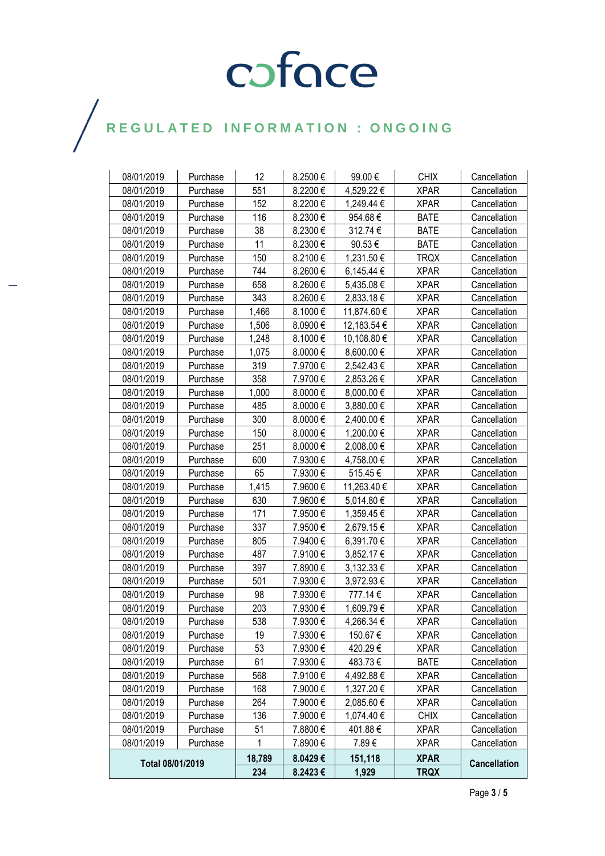# COFOCE

### $\bigg)$

| 08/01/2019       | Purchase | 12     | 8.2500€ | 99.00€      | <b>CHIX</b> | Cancellation        |
|------------------|----------|--------|---------|-------------|-------------|---------------------|
| 08/01/2019       | Purchase | 551    | 8.2200€ | 4,529.22 €  | <b>XPAR</b> | Cancellation        |
| 08/01/2019       | Purchase | 152    | 8.2200€ | 1,249.44 €  | <b>XPAR</b> | Cancellation        |
| 08/01/2019       | Purchase | 116    | 8.2300€ | 954.68€     | <b>BATE</b> | Cancellation        |
| 08/01/2019       | Purchase | 38     | 8.2300€ | 312.74€     | <b>BATE</b> | Cancellation        |
| 08/01/2019       | Purchase | 11     | 8.2300€ | 90.53€      | <b>BATE</b> | Cancellation        |
| 08/01/2019       | Purchase | 150    | 8.2100€ | 1,231.50€   | <b>TRQX</b> | Cancellation        |
| 08/01/2019       | Purchase | 744    | 8.2600€ | 6,145.44 €  | <b>XPAR</b> | Cancellation        |
| 08/01/2019       | Purchase | 658    | 8.2600€ | 5,435.08 €  | <b>XPAR</b> | Cancellation        |
| 08/01/2019       | Purchase | 343    | 8.2600€ | 2,833.18€   | <b>XPAR</b> | Cancellation        |
| 08/01/2019       | Purchase | 1,466  | 8.1000€ | 11,874.60 € | <b>XPAR</b> | Cancellation        |
| 08/01/2019       | Purchase | 1,506  | 8.0900€ | 12,183.54 € | <b>XPAR</b> | Cancellation        |
| 08/01/2019       | Purchase | 1,248  | 8.1000€ | 10,108.80 € | <b>XPAR</b> | Cancellation        |
| 08/01/2019       | Purchase | 1,075  | 8.0000€ | 8,600.00€   | <b>XPAR</b> | Cancellation        |
| 08/01/2019       | Purchase | 319    | 7.9700€ | 2,542.43 €  | <b>XPAR</b> | Cancellation        |
| 08/01/2019       | Purchase | 358    | 7.9700€ | 2,853.26 €  | <b>XPAR</b> | Cancellation        |
| 08/01/2019       | Purchase | 1,000  | 8.0000€ | 8,000.00 €  | <b>XPAR</b> | Cancellation        |
| 08/01/2019       | Purchase | 485    | 8.0000€ | 3,880.00 €  | <b>XPAR</b> | Cancellation        |
| 08/01/2019       | Purchase | 300    | 8.0000€ | 2,400.00 €  | <b>XPAR</b> | Cancellation        |
| 08/01/2019       | Purchase | 150    | 8.0000€ | 1,200.00 €  | <b>XPAR</b> | Cancellation        |
| 08/01/2019       | Purchase | 251    | 8.0000€ | 2,008.00 €  | <b>XPAR</b> | Cancellation        |
| 08/01/2019       | Purchase | 600    | 7.9300€ | 4,758.00 €  | <b>XPAR</b> | Cancellation        |
| 08/01/2019       | Purchase | 65     | 7.9300€ | 515.45€     | <b>XPAR</b> | Cancellation        |
| 08/01/2019       | Purchase | 1,415  | 7.9600€ | 11,263.40 € | <b>XPAR</b> | Cancellation        |
| 08/01/2019       | Purchase | 630    | 7.9600€ | 5,014.80 €  | <b>XPAR</b> | Cancellation        |
| 08/01/2019       | Purchase | 171    | 7.9500€ | 1,359.45€   | <b>XPAR</b> | Cancellation        |
| 08/01/2019       | Purchase | 337    | 7.9500€ | 2,679.15€   | <b>XPAR</b> | Cancellation        |
| 08/01/2019       | Purchase | 805    | 7.9400€ | 6,391.70 €  | <b>XPAR</b> | Cancellation        |
| 08/01/2019       | Purchase | 487    | 7.9100€ | 3,852.17 €  | <b>XPAR</b> | Cancellation        |
| 08/01/2019       | Purchase | 397    | 7.8900€ | 3,132.33 €  | <b>XPAR</b> | Cancellation        |
| 08/01/2019       | Purchase | 501    | 7.9300€ | 3,972.93€   | <b>XPAR</b> | Cancellation        |
| 08/01/2019       | Purchase | 98     | 7.9300€ | 777.14€     | <b>XPAR</b> | Cancellation        |
| 08/01/2019       | Purchase | 203    | 7.9300€ | 1,609.79€   | <b>XPAR</b> | Cancellation        |
| 08/01/2019       | Purchase | 538    | 7.9300€ | 4,266.34 €  | <b>XPAR</b> | Cancellation        |
| 08/01/2019       | Purchase | 19     | 7.9300€ | 150.67€     | <b>XPAR</b> | Cancellation        |
| 08/01/2019       | Purchase | 53     | 7.9300€ | 420.29€     | <b>XPAR</b> | Cancellation        |
| 08/01/2019       | Purchase | 61     | 7.9300€ | 483.73€     | <b>BATE</b> | Cancellation        |
| 08/01/2019       | Purchase | 568    | 7.9100€ | 4,492.88 €  | <b>XPAR</b> | Cancellation        |
| 08/01/2019       | Purchase | 168    | 7.9000€ | 1,327.20 €  | <b>XPAR</b> | Cancellation        |
| 08/01/2019       | Purchase | 264    | 7.9000€ | 2,085.60 €  | <b>XPAR</b> | Cancellation        |
| 08/01/2019       | Purchase | 136    | 7.9000€ | 1,074.40 €  | <b>CHIX</b> | Cancellation        |
| 08/01/2019       | Purchase | 51     | 7.8800€ | 401.88€     | <b>XPAR</b> | Cancellation        |
| 08/01/2019       | Purchase | 1      | 7.8900€ | 7.89€       | <b>XPAR</b> | Cancellation        |
|                  |          | 18,789 | 8.0429€ | 151,118     | <b>XPAR</b> | <b>Cancellation</b> |
| Total 08/01/2019 |          | 234    | 8.2423€ | 1,929       | <b>TRQX</b> |                     |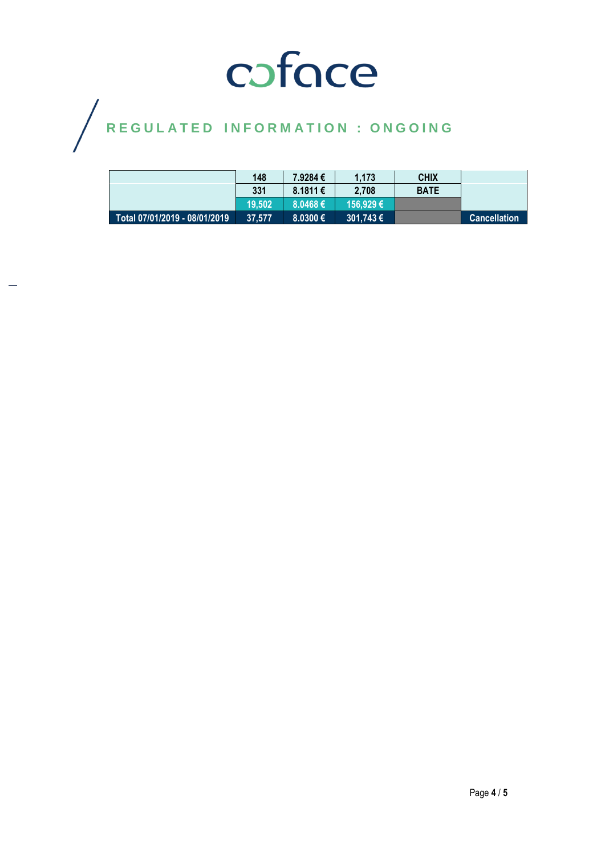# COFOCE

 $\bigg)$ 

|                               | 148    | 7.9284€      | 1.173         | <b>CHIX</b> |                     |
|-------------------------------|--------|--------------|---------------|-------------|---------------------|
|                               | 331    | $8.1811 \in$ | 2.708         | <b>BATE</b> |                     |
|                               | 19.502 | $8.0468 \in$ | 156.929€      |             |                     |
| Total 07/01/2019 - 08/01/2019 | 37.577 | 8,0300€      | i 301.743 € ' |             | <b>Cancellation</b> |